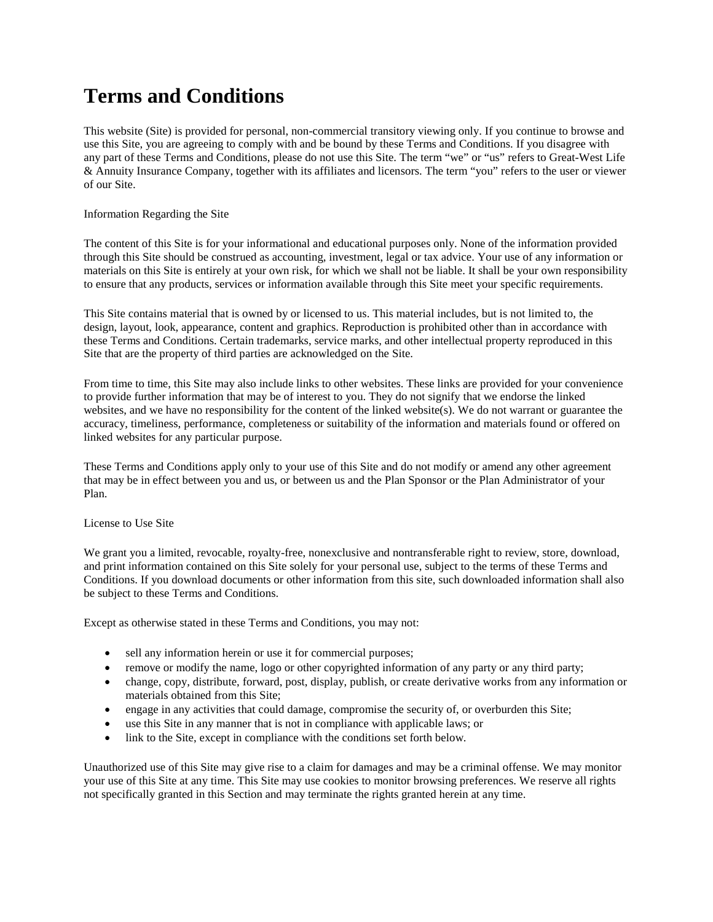# **Terms and Conditions**

This website (Site) is provided for personal, non-commercial transitory viewing only. If you continue to browse and use this Site, you are agreeing to comply with and be bound by these Terms and Conditions. If you disagree with any part of these Terms and Conditions, please do not use this Site. The term "we" or "us" refers to Great-West Life & Annuity Insurance Company, together with its affiliates and licensors. The term "you" refers to the user or viewer of our Site.

# Information Regarding the Site

The content of this Site is for your informational and educational purposes only. None of the information provided through this Site should be construed as accounting, investment, legal or tax advice. Your use of any information or materials on this Site is entirely at your own risk, for which we shall not be liable. It shall be your own responsibility to ensure that any products, services or information available through this Site meet your specific requirements.

This Site contains material that is owned by or licensed to us. This material includes, but is not limited to, the design, layout, look, appearance, content and graphics. Reproduction is prohibited other than in accordance with these Terms and Conditions. Certain trademarks, service marks, and other intellectual property reproduced in this Site that are the property of third parties are acknowledged on the Site.

From time to time, this Site may also include links to other websites. These links are provided for your convenience to provide further information that may be of interest to you. They do not signify that we endorse the linked websites, and we have no responsibility for the content of the linked website(s). We do not warrant or guarantee the accuracy, timeliness, performance, completeness or suitability of the information and materials found or offered on linked websites for any particular purpose.

These Terms and Conditions apply only to your use of this Site and do not modify or amend any other agreement that may be in effect between you and us, or between us and the Plan Sponsor or the Plan Administrator of your Plan.

# License to Use Site

We grant you a limited, revocable, royalty-free, nonexclusive and nontransferable right to review, store, download, and print information contained on this Site solely for your personal use, subject to the terms of these Terms and Conditions. If you download documents or other information from this site, such downloaded information shall also be subject to these Terms and Conditions.

Except as otherwise stated in these Terms and Conditions, you may not:

- sell any information herein or use it for commercial purposes;
- remove or modify the name, logo or other copyrighted information of any party or any third party;
- change, copy, distribute, forward, post, display, publish, or create derivative works from any information or materials obtained from this Site;
- engage in any activities that could damage, compromise the security of, or overburden this Site;
- use this Site in any manner that is not in compliance with applicable laws; or
- link to the Site, except in compliance with the conditions set forth below.

Unauthorized use of this Site may give rise to a claim for damages and may be a criminal offense. We may monitor your use of this Site at any time. This Site may use cookies to monitor browsing preferences. We reserve all rights not specifically granted in this Section and may terminate the rights granted herein at any time.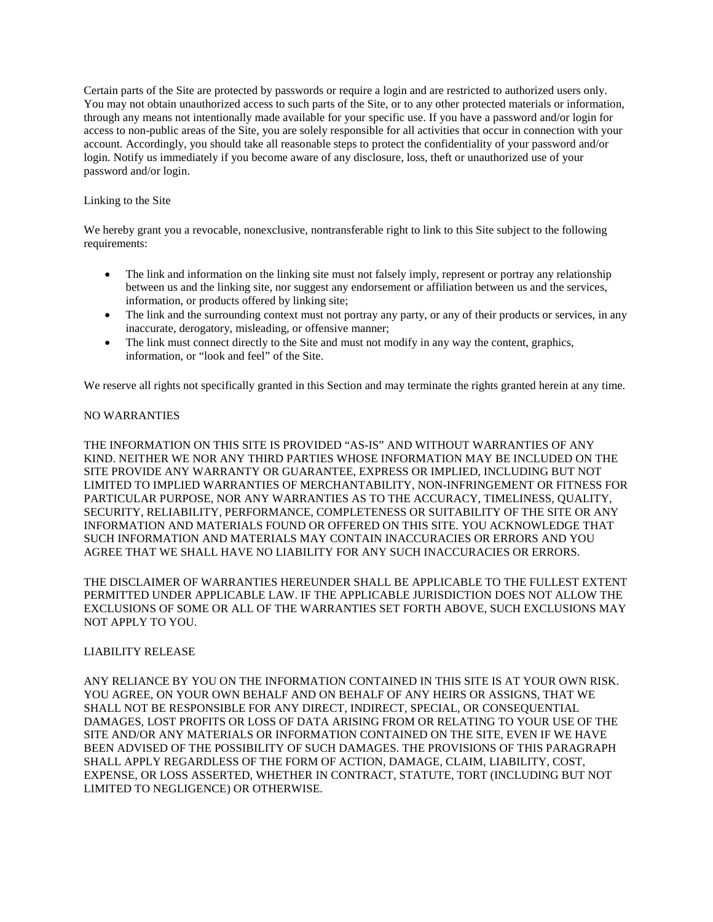Certain parts of the Site are protected by passwords or require a login and are restricted to authorized users only. You may not obtain unauthorized access to such parts of the Site, or to any other protected materials or information, through any means not intentionally made available for your specific use. If you have a password and/or login for access to non-public areas of the Site, you are solely responsible for all activities that occur in connection with your account. Accordingly, you should take all reasonable steps to protect the confidentiality of your password and/or login. Notify us immediately if you become aware of any disclosure, loss, theft or unauthorized use of your password and/or login.

## Linking to the Site

We hereby grant you a revocable, nonexclusive, nontransferable right to link to this Site subject to the following requirements:

- The link and information on the linking site must not falsely imply, represent or portray any relationship between us and the linking site, nor suggest any endorsement or affiliation between us and the services, information, or products offered by linking site;
- The link and the surrounding context must not portray any party, or any of their products or services, in any inaccurate, derogatory, misleading, or offensive manner;
- The link must connect directly to the Site and must not modify in any way the content, graphics, information, or "look and feel" of the Site.

We reserve all rights not specifically granted in this Section and may terminate the rights granted herein at any time.

## NO WARRANTIES

THE INFORMATION ON THIS SITE IS PROVIDED "AS-IS" AND WITHOUT WARRANTIES OF ANY KIND. NEITHER WE NOR ANY THIRD PARTIES WHOSE INFORMATION MAY BE INCLUDED ON THE SITE PROVIDE ANY WARRANTY OR GUARANTEE, EXPRESS OR IMPLIED, INCLUDING BUT NOT LIMITED TO IMPLIED WARRANTIES OF MERCHANTABILITY, NON-INFRINGEMENT OR FITNESS FOR PARTICULAR PURPOSE, NOR ANY WARRANTIES AS TO THE ACCURACY, TIMELINESS, QUALITY, SECURITY, RELIABILITY, PERFORMANCE, COMPLETENESS OR SUITABILITY OF THE SITE OR ANY INFORMATION AND MATERIALS FOUND OR OFFERED ON THIS SITE. YOU ACKNOWLEDGE THAT SUCH INFORMATION AND MATERIALS MAY CONTAIN INACCURACIES OR ERRORS AND YOU AGREE THAT WE SHALL HAVE NO LIABILITY FOR ANY SUCH INACCURACIES OR ERRORS.

THE DISCLAIMER OF WARRANTIES HEREUNDER SHALL BE APPLICABLE TO THE FULLEST EXTENT PERMITTED UNDER APPLICABLE LAW. IF THE APPLICABLE JURISDICTION DOES NOT ALLOW THE EXCLUSIONS OF SOME OR ALL OF THE WARRANTIES SET FORTH ABOVE, SUCH EXCLUSIONS MAY NOT APPLY TO YOU.

#### LIABILITY RELEASE

ANY RELIANCE BY YOU ON THE INFORMATION CONTAINED IN THIS SITE IS AT YOUR OWN RISK. YOU AGREE, ON YOUR OWN BEHALF AND ON BEHALF OF ANY HEIRS OR ASSIGNS, THAT WE SHALL NOT BE RESPONSIBLE FOR ANY DIRECT, INDIRECT, SPECIAL, OR CONSEQUENTIAL DAMAGES, LOST PROFITS OR LOSS OF DATA ARISING FROM OR RELATING TO YOUR USE OF THE SITE AND/OR ANY MATERIALS OR INFORMATION CONTAINED ON THE SITE, EVEN IF WE HAVE BEEN ADVISED OF THE POSSIBILITY OF SUCH DAMAGES. THE PROVISIONS OF THIS PARAGRAPH SHALL APPLY REGARDLESS OF THE FORM OF ACTION, DAMAGE, CLAIM, LIABILITY, COST, EXPENSE, OR LOSS ASSERTED, WHETHER IN CONTRACT, STATUTE, TORT (INCLUDING BUT NOT LIMITED TO NEGLIGENCE) OR OTHERWISE.